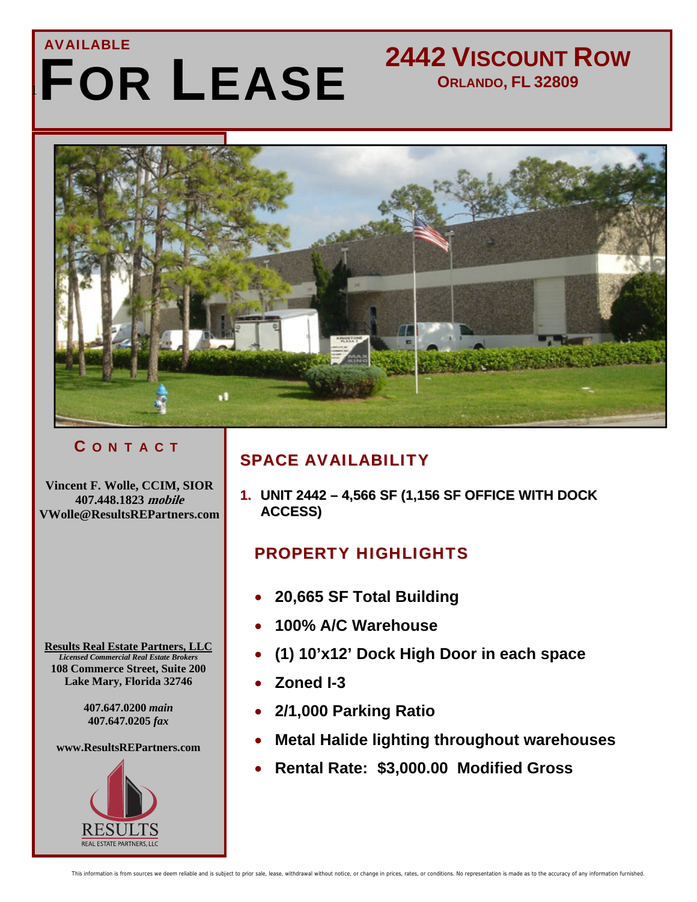## 1 FOR LEASE AVAILABLE

## **2442 VISCOUNT ROW ORLANDO, FL 32809**



### C O N T A C T

**Vincent F. Wolle, CCIM, SIOR 407.448.1823 mobile VWolle@ResultsREPartners.com** 

**Results Real Estate Partners, LLC** *Licensed Commercial Real Estate Brokers*  **108 Commerce Street, Suite 200 Lake Mary, Florida 32746** 

 $\overline{\phantom{a}}$ 

**407.647.0200** *main*  **407.647.0205** *fax* 

**www.ResultsREPartners.com** 



### SPACE AVAILABILITY

**1. UNIT 2442 – 4,566 SF (1,156 SF OFFICE WITH DOCK ACCESS)**

## PROPERTY HIGHLIGHTS

- **20,665 SF Total Building**
- **100% A/C Warehouse**
- **(1) 10'x12' Dock High Door in each space**
- **Zoned I-3**
- **2/1,000 Parking Ratio**
- **Metal Halide lighting throughout warehouses**
- **Rental Rate: \$3,000.00 Modified Gross**

This information is from sources we deem reliable and is subject to prior sale, lease, withdrawal without notice, or change in prices, rates, or conditions. No representation is made as to the accuracy of any information f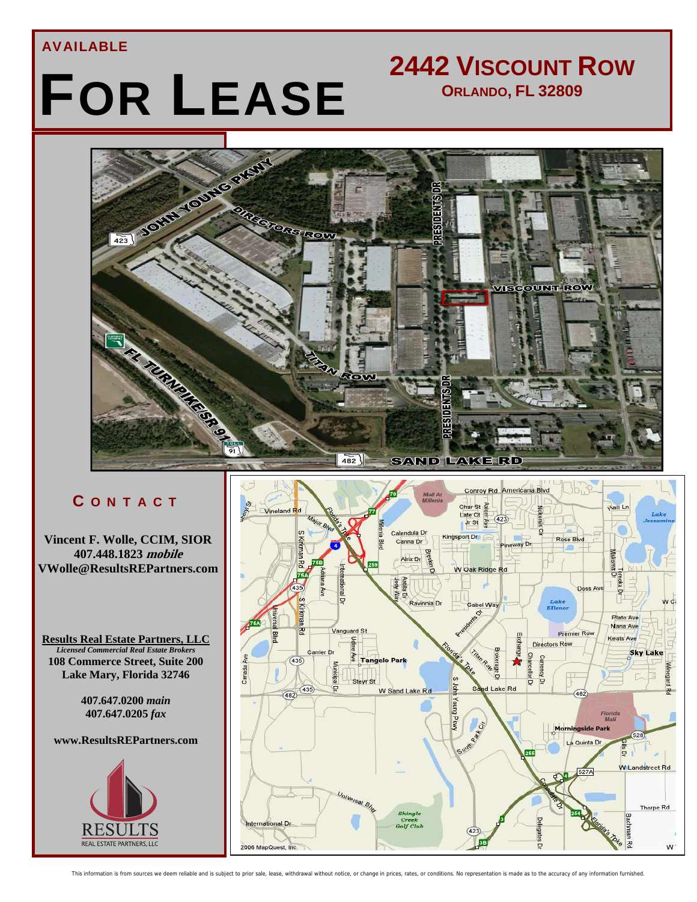#### AVAILABLE

# FOR LEASE

## **2442 VISCOUNT ROW ORLANDO, FL 32809**



#### C O N T A C T

**Vincent F. Wolle, CCIM, SIOR 407.448.1823 mobile VWolle@ResultsREPartners.com** 

**Results Real Estate Partners, LLC Licensed Commercial Real Estate Brokers 108 Commerce Street, Suite 200 Lake Mary, Florida 32746** 

> **407.647.0200** *main*  **407.647.0205** *fax*

#### **www.ResultsREPartners.com**

 $\overline{\phantom{a}}$ 





This information is from sources we deem reliable and is subject to prior sale, lease, withdrawal without notice, or change in prices, rates, or conditions. No representation is made as to the accuracy of any information f